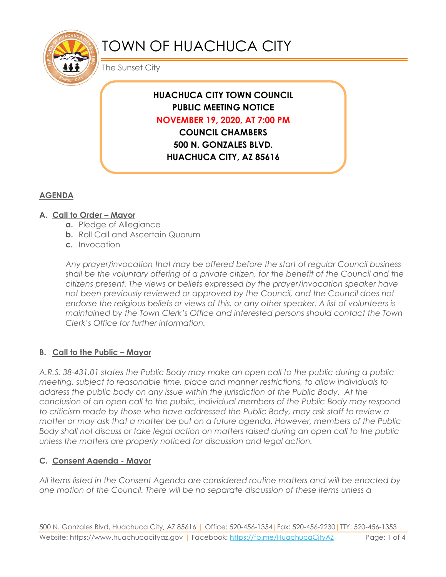

# TOWN OF HUACHUCA CITY

The Sunset City

# **HUACHUCA CITY TOWN COUNCIL PUBLIC MEETING NOTICE NOVEMBER 19, 2020, AT 7:00 PM COUNCIL CHAMBERS**

**500 N. GONZALES BLVD. HUACHUCA CITY, AZ 85616**

# **AGENDA**

## **A. Call to Order – Mayor**

- **a.** Pledge of Allegiance
- **b.** Roll Call and Ascertain Quorum
- **c.** Invocation

*Any prayer/invocation that may be offered before the start of regular Council business shall be the voluntary offering of a private citizen, for the benefit of the Council and the citizens present. The views or beliefs expressed by the prayer/invocation speaker have not been previously reviewed or approved by the Council, and the Council does not endorse the religious beliefs or views of this, or any other speaker. A list of volunteers is maintained by the Town Clerk's Office and interested persons should contact the Town Clerk's Office for further information.*

# **B. Call to the Public – Mayor**

*A.R.S. 38-431.01 states the Public Body may make an open call to the public during a public meeting, subject to reasonable time, place and manner restrictions, to allow individuals to address the public body on any issue within the jurisdiction of the Public Body. At the conclusion of an open call to the public, individual members of the Public Body may respond to criticism made by those who have addressed the Public Body, may ask staff to review a matter or may ask that a matter be put on a future agenda. However, members of the Public Body shall not discuss or take legal action on matters raised during an open call to the public unless the matters are properly noticed for discussion and legal action.*

#### **C. Consent Agenda - Mayor**

*All items listed in the Consent Agenda are considered routine matters and will be enacted by one motion of the Council. There will be no separate discussion of these items unless a*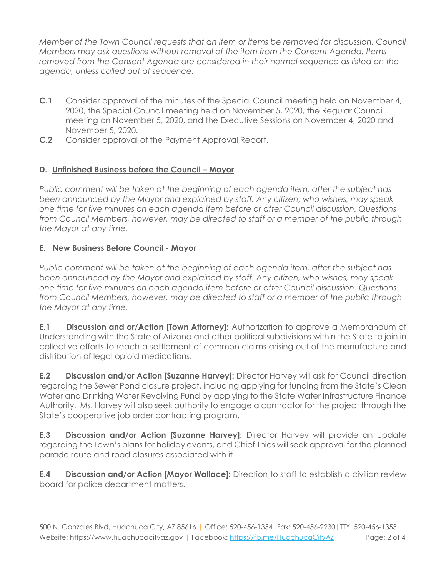*Member of the Town Council requests that an item or items be removed for discussion. Council Members may ask questions without removal of the item from the Consent Agenda. Items removed from the Consent Agenda are considered in their normal sequence as listed on the agenda, unless called out of sequence.*

- **C.1** Consider approval of the minutes of the Special Council meeting held on November 4, 2020, the Special Council meeting held on November 5, 2020, the Regular Council meeting on November 5, 2020, and the Executive Sessions on November 4, 2020 and November 5, 2020.
- **C.2** Consider approval of the Payment Approval Report.

## **D. Unfinished Business before the Council – Mayor**

*Public comment will be taken at the beginning of each agenda item, after the subject has been announced by the Mayor and explained by staff. Any citizen, who wishes, may speak one time for five minutes on each agenda item before or after Council discussion. Questions from Council Members, however, may be directed to staff or a member of the public through the Mayor at any time.*

## **E. New Business Before Council - Mayor**

*Public comment will be taken at the beginning of each agenda item, after the subject has been announced by the Mayor and explained by staff. Any citizen, who wishes, may speak one time for five minutes on each agenda item before or after Council discussion. Questions from Council Members, however, may be directed to staff or a member of the public through the Mayor at any time.* 

**E.1 Discussion and or/Action [Town Attorney]:** Authorization to approve a Memorandum of Understanding with the State of Arizona and other political subdivisions within the State to join in collective efforts to reach a settlement of common claims arising out of the manufacture and distribution of legal opioid medications.

**E.2 Discussion and/or Action [Suzanne Harvey]:** Director Harvey will ask for Council direction regarding the Sewer Pond closure project, including applying for funding from the State's Clean Water and Drinking Water Revolving Fund by applying to the State Water Infrastructure Finance Authority. Ms. Harvey will also seek authority to engage a contractor for the project through the State's cooperative job order contracting program.

**E.3 Discussion and/or Action [Suzanne Harvey]:** Director Harvey will provide an update regarding the Town's plans for holiday events, and Chief Thies will seek approval for the planned parade route and road closures associated with it.

**E.4 Discussion and/or Action [Mayor Wallace]:** Direction to staff to establish a civilian review board for police department matters.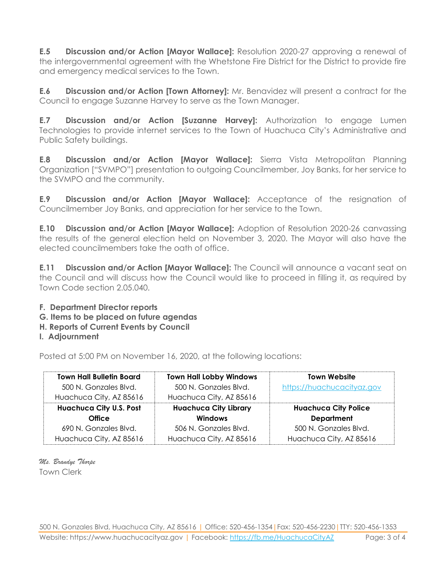**E.5 Discussion and/or Action [Mayor Wallace]:** Resolution 2020-27 approving a renewal of the intergovernmental agreement with the Whetstone Fire District for the District to provide fire and emergency medical services to the Town.

**E.6 Discussion and/or Action [Town Attorney]:** Mr. Benavidez will present a contract for the Council to engage Suzanne Harvey to serve as the Town Manager.

**E.7 Discussion and/or Action [Suzanne Harvey]:** Authorization to engage Lumen Technologies to provide internet services to the Town of Huachuca City's Administrative and Public Safety buildings.

**E.8 Discussion and/or Action [Mayor Wallace]:** Sierra Vista Metropolitan Planning Organization ["SVMPO"] presentation to outgoing Councilmember, Joy Banks, for her service to the SVMPO and the community.

**E.9 Discussion and/or Action [Mayor Wallace]:** Acceptance of the resignation of Councilmember Joy Banks, and appreciation for her service to the Town.

**E.10 Discussion and/or Action [Mayor Wallace]:** Adoption of Resolution 2020-26 canvassing the results of the general election held on November 3, 2020. The Mayor will also have the elected councilmembers take the oath of office.

**E.11 Discussion and/or Action [Mayor Wallace]:** The Council will announce a vacant seat on the Council and will discuss how the Council would like to proceed in filling it, as required by Town Code section 2.05.040.

**F. Department Director reports**

**G. Items to be placed on future agendas**

- **H. Reports of Current Events by Council**
- **I. Adjournment**

Posted at 5:00 PM on November 16, 2020, at the following locations:

| <b>Town Hall Bulletin Board</b> | <b>Town Hall Lobby Windows</b> | <b>Town Website</b>         |
|---------------------------------|--------------------------------|-----------------------------|
| 500 N. Gonzales Blvd.           | 500 N. Gonzales Blvd.          | https://huachucacityaz.gov  |
| Huachuca City, AZ 85616         | Huachuca City, AZ 85616        |                             |
| <b>Huachuca City U.S. Post</b>  | <b>Huachuca City Library</b>   | <b>Huachuca City Police</b> |
| <b>Office</b>                   | Windows                        | <b>Department</b>           |
| 690 N. Gonzales Blvd.           | 506 N. Gonzales Blvd.          | 500 N. Gonzales Blvd.       |
| Huachuca City, AZ 85616         | Huachuca City, AZ 85616        | Huachuca City, AZ 85616     |

*Ms. Brandye Thorpe* Town Clerk